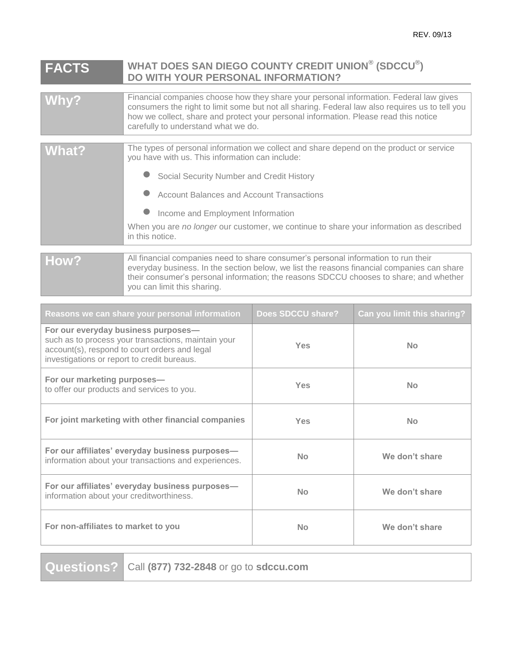## **FACTS WHAT DOES SAN DIEGO COUNTY CREDIT UNION® (SDCCU® ) DO WITH YOUR PERSONAL INFORMATION?**

| Why?           | Financial companies choose how they share your personal information. Federal law gives<br>consumers the right to limit some but not all sharing. Federal law also requires us to tell you<br>how we collect, share and protect your personal information. Please read this notice<br>carefully to understand what we do.                                                                       |
|----------------|------------------------------------------------------------------------------------------------------------------------------------------------------------------------------------------------------------------------------------------------------------------------------------------------------------------------------------------------------------------------------------------------|
| What?          | The types of personal information we collect and share depend on the product or service<br>you have with us. This information can include:<br>Social Security Number and Credit History<br><b>Account Balances and Account Transactions</b><br>Income and Employment Information<br>When you are no longer our customer, we continue to share your information as described<br>in this notice. |
| $\blacksquare$ | All financial companies need to share consumer's nersonal information to run their                                                                                                                                                                                                                                                                                                             |

**How?** All financial companies need to share consumer's personal information to run their everyday business. In the section below, we list the reasons financial companies can share their consumer's personal information; the reasons SDCCU chooses to share; and whether you can limit this sharing.

| Reasons we can share your personal information                                                                                                                                             | Does SDCCU share? | Can you limit this sharing? |
|--------------------------------------------------------------------------------------------------------------------------------------------------------------------------------------------|-------------------|-----------------------------|
| For our everyday business purposes-<br>such as to process your transactions, maintain your<br>account(s), respond to court orders and legal<br>investigations or report to credit bureaus. | Yes               | <b>No</b>                   |
| For our marketing purposes-<br>to offer our products and services to you.                                                                                                                  | Yes               | No                          |
| For joint marketing with other financial companies                                                                                                                                         | Yes               | No                          |
| For our affiliates' everyday business purposes-<br>information about your transactions and experiences.                                                                                    | No                | We don't share              |
| For our affiliates' everyday business purposes-<br>information about your creditworthiness.                                                                                                | No                | We don't share              |
| For non-affiliates to market to you                                                                                                                                                        | No                | We don't share              |

**Questions?** Call **(877) 732-2848** or go to **sdccu.com**